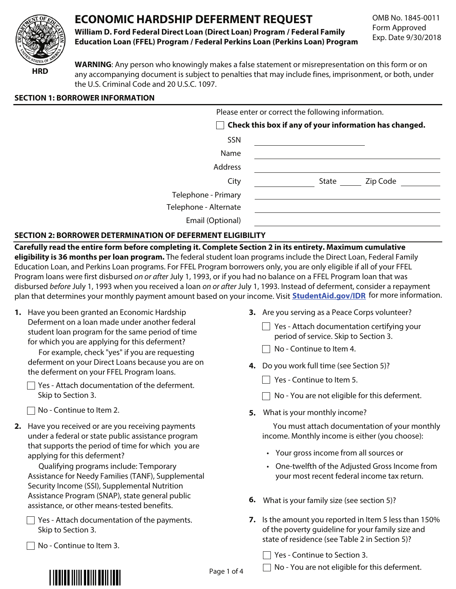# **ECONOMIC HARDSHIP DEFERMENT REQUEST**



**William D. Ford Federal Direct Loan (Direct Loan) Program / Federal Family Education Loan (FFEL) Program / Federal Perkins Loan (Perkins Loan) Program** OMB No. 1845-0011 Form Approved Exp. Date 9/30/2018

**HRD**

**WARNING**: Any person who knowingly makes a false statement or misrepresentation on this form or on any accompanying document is subject to penalties that may include fines, imprisonment, or both, under the U.S. Criminal Code and 20 U.S.C. 1097.

# **SECTION 1: BORROWER INFORMATION**

| Please enter or correct the following information. |                                                        |  |  |  |  |
|----------------------------------------------------|--------------------------------------------------------|--|--|--|--|
|                                                    | Check this box if any of your information has changed. |  |  |  |  |
| SSN                                                |                                                        |  |  |  |  |
| Name                                               |                                                        |  |  |  |  |
| Address                                            |                                                        |  |  |  |  |
| City                                               | Zip Code<br>State                                      |  |  |  |  |
| Telephone - Primary                                |                                                        |  |  |  |  |
| Telephone - Alternate                              |                                                        |  |  |  |  |
| Email (Optional)                                   |                                                        |  |  |  |  |

# **SECTION 2: BORROWER DETERMINATION OF DEFERMENT ELIGIBILITY**

**Carefully read the entire form before completing it. Complete Section 2 in its entirety. Maximum cumulative eligibility is 36 months per loan program.** The federal student loan programs include the Direct Loan, Federal Family Education Loan, and Perkins Loan programs. For FFEL Program borrowers only, you are only eligible if all of your FFEL Program loans were first disbursed on or after July 1, 1993, or if you had no balance on a FFEL Program loan that was disbursed before July 1, 1993 when you received a loan on or after July 1, 1993. Instead of deferment, consider a repayment plan that determines your monthly payment amount based on your income. Visit **StudentAid.gov/IDR** for more information.

**1.** Have you been granted an Economic Hardship Deferment on a loan made under another federal student loan program for the same period of time for which you are applying for this deferment?

For example, check "yes" if you are requesting deferment on your Direct Loans because you are on the deferment on your FFEL Program loans.

| $\Box$ Yes - Attach documentation of the deferment. |  |
|-----------------------------------------------------|--|
| Skip to Section 3.                                  |  |

 $\Box$  No - Continue to Item 2.

**2.** Have you received or are you receiving payments under a federal or state public assistance program that supports the period of time for which you are applying for this deferment?

Qualifying programs include: Temporary Assistance for Needy Families (TANF), Supplemental Security Income (SSI), Supplemental Nutrition Assistance Program (SNAP), state general public assistance, or other means-tested benefits.

 $\Box$  Yes - Attach documentation of the payments. Skip to Section 3.

 $\Box$  No - Continue to Item 3.

- **3.** Are you serving as a Peace Corps volunteer?
	- $\Box$  Yes Attach documentation certifying your period of service. Skip to Section 3.
	- $\Box$  No Continue to Item 4.
- **4.** Do you work full time (see Section 5)?
	- $\Box$  Yes Continue to Item 5.
	- $\Box$  No You are not eligible for this deferment.
- **5.** What is your monthly income?

You must attach documentation of your monthly income. Monthly income is either (you choose):

- Your gross income from all sources or
- One-twelfth of the Adjusted Gross Income from your most recent federal income tax return.
- **6.** What is your family size (see section 5)?
- **7.** Is the amount you reported in Item 5 less than 150% of the poverty guideline for your family size and state of residence (see Table 2 in Section 5)?

 $\Box$  Yes - Continue to Section 3.



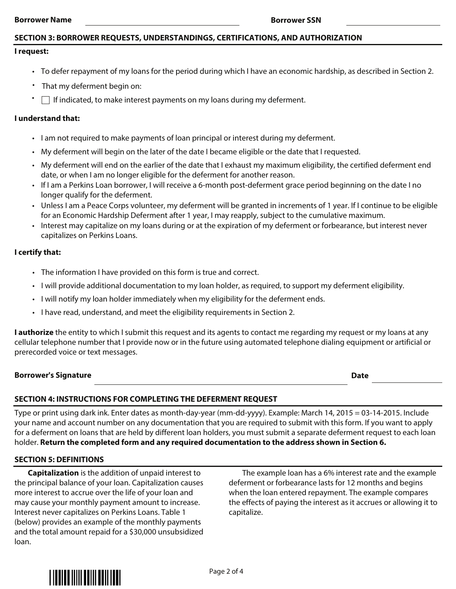#### **Borrower Name Borrower SSN**

# **SECTION 3: BORROWER REQUESTS, UNDERSTANDINGS, CERTIFICATIONS, AND AUTHORIZATION**

### **I request:**

- To defer repayment of my loans for the period during which I have an economic hardship, as described in Section 2.
- That my deferment begin on:
- $\Box$  If indicated, to make interest payments on my loans during my deferment.

# **I understand that:**

- I am not required to make payments of loan principal or interest during my deferment.
- My deferment will begin on the later of the date I became eligible or the date that I requested.
- My deferment will end on the earlier of the date that I exhaust my maximum eligibility, the certified deferment end date, or when I am no longer eligible for the deferment for another reason.
- If I am a Perkins Loan borrower, I will receive a 6-month post-deferment grace period beginning on the date I no longer qualify for the deferment.
- Unless I am a Peace Corps volunteer, my deferment will be granted in increments of 1 year. If I continue to be eligible for an Economic Hardship Deferment after 1 year, I may reapply, subject to the cumulative maximum.
- Interest may capitalize on my loans during or at the expiration of my deferment or forbearance, but interest never capitalizes on Perkins Loans.

# **I certify that:**

- The information I have provided on this form is true and correct.
- I will provide additional documentation to my loan holder, as required, to support my deferment eligibility.
- I will notify my loan holder immediately when my eligibility for the deferment ends.
- I have read, understand, and meet the eligibility requirements in Section 2.

**I authorize** the entity to which I submit this request and its agents to contact me regarding my request or my loans at any cellular telephone number that I provide now or in the future using automated telephone dialing equipment or artificial or prerecorded voice or text messages.

### **Borrower's Signature Date**

# **SECTION 4: INSTRUCTIONS FOR COMPLETING THE DEFERMENT REQUEST**

Type or print using dark ink. Enter dates as month-day-year (mm-dd-yyyy). Example: March 14, 2015 = 03-14-2015. Include your name and account number on any documentation that you are required to submit with this form. If you want to apply for a deferment on loans that are held by different loan holders, you must submit a separate deferment request to each loan holder. **Return the completed form and any required documentation to the address shown in Section 6.**

# **SECTION 5: DEFINITIONS**

**Capitalization** is the addition of unpaid interest to the principal balance of your loan. Capitalization causes more interest to accrue over the life of your loan and may cause your monthly payment amount to increase. Interest never capitalizes on Perkins Loans. Table 1 (below) provides an example of the monthly payments and the total amount repaid for a \$30,000 unsubsidized loan.

The example loan has a 6% interest rate and the example deferment or forbearance lasts for 12 months and begins when the loan entered repayment. The example compares the effects of paying the interest as it accrues or allowing it to capitalize.

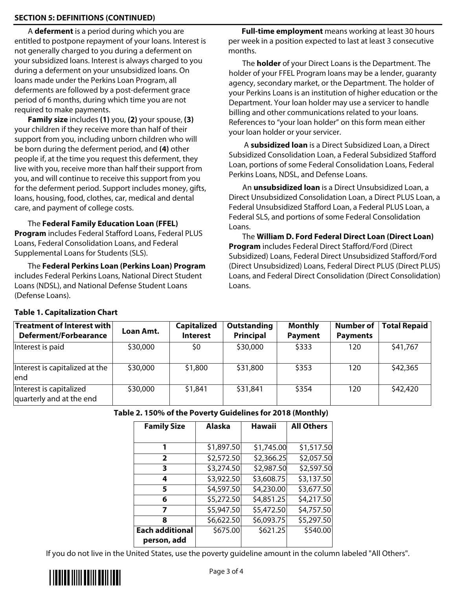# **SECTION 5: DEFINITIONS (CONTINUED)**

A **deferment** is a period during which you are entitled to postpone repayment of your loans. Interest is not generally charged to you during a deferment on your subsidized loans. Interest is always charged to you during a deferment on your unsubsidized loans. On loans made under the Perkins Loan Program, all deferments are followed by a post-deferment grace period of 6 months, during which time you are not required to make payments.

**Family size** includes **(1)** you, **(2)** your spouse, **(3)** your children if they receive more than half of their support from you, including unborn children who will be born during the deferment period, and **(4)** other people if, at the time you request this deferment, they live with you, receive more than half their support from you, and will continue to receive this support from you for the deferment period. Support includes money, gifts, loans, housing, food, clothes, car, medical and dental care, and payment of college costs.

The **Federal Family Education Loan (FFEL) Program** includes Federal Stafford Loans, Federal PLUS Loans, Federal Consolidation Loans, and Federal Supplemental Loans for Students (SLS).

The **Federal Perkins Loan (Perkins Loan) Program**  includes Federal Perkins Loans, National Direct Student Loans (NDSL), and National Defense Student Loans (Defense Loans).

**Full-time employment** means working at least 30 hours per week in a position expected to last at least 3 consecutive months.

The **holder** of your Direct Loans is the Department. The holder of your FFEL Program loans may be a lender, guaranty agency, secondary market, or the Department. The holder of your Perkins Loans is an institution of higher education or the Department. Your loan holder may use a servicer to handle billing and other communications related to your loans. References to "your loan holder" on this form mean either your loan holder or your servicer.

 A **subsidized loan** is a Direct Subsidized Loan, a Direct Subsidized Consolidation Loan, a Federal Subsidized Stafford Loan, portions of some Federal Consolidation Loans, Federal Perkins Loans, NDSL, and Defense Loans.

An **unsubsidized loan** is a Direct Unsubsidized Loan, a Direct Unsubsidized Consolidation Loan, a Direct PLUS Loan, a Federal Unsubsidized Stafford Loan, a Federal PLUS Loan, a Federal SLS, and portions of some Federal Consolidation Loans.

The **William D. Ford Federal Direct Loan (Direct Loan) Program** includes Federal Direct Stafford/Ford (Direct Subsidized) Loans, Federal Direct Unsubsidized Stafford/Ford (Direct Unsubsidized) Loans, Federal Direct PLUS (Direct PLUS) Loans, and Federal Direct Consolidation (Direct Consolidation) Loans.

| Treatment of Interest with<br>Deferment/Forbearance | Loan Amt. | <b>Capitalized</b><br><b>Interest</b> | Outstanding<br>Principal | <b>Monthly</b><br><b>Payment</b> | <b>Number of</b><br><b>Payments</b> | <b>Total Repaid</b> |
|-----------------------------------------------------|-----------|---------------------------------------|--------------------------|----------------------------------|-------------------------------------|---------------------|
| Interest is paid                                    | \$30,000  | \$0                                   | \$30,000                 | \$333                            | 120                                 | \$41,767            |
| Interest is capitalized at the<br>lend              | \$30,000  | \$1,800                               | \$31,800                 | \$353                            | 120                                 | \$42,365            |
| Interest is capitalized<br>quarterly and at the end | \$30,000  | \$1,841                               | \$31,841                 | \$354                            | 120                                 | \$42,420            |

# **Table 1. Capitalization Chart**

# **Table 2. 150% of the Poverty Guidelines for 2018 (Monthly)**

| <b>Family Size</b>     | <b>Alaska</b> | Hawaii     | <b>All Others</b> |  |
|------------------------|---------------|------------|-------------------|--|
|                        |               |            |                   |  |
| 1                      | \$1,897.50    | \$1,745.00 | \$1,517.50        |  |
| $\overline{2}$         | \$2,572.50    | \$2,366.25 | \$2,057.50        |  |
| 3                      | \$3,274.50    | \$2,987.50 | \$2,597.50        |  |
| 4                      | \$3,922.50    | \$3,608.75 | \$3,137.50        |  |
| 5                      | \$4,597.50    | \$4,230.00 | \$3,677.50        |  |
| 6                      | \$5,272.50    | \$4,851.25 | \$4,217.50        |  |
| 7                      | \$5,947.50    | \$5,472.50 | \$4,757.50        |  |
| 8                      | \$6,622.50    | \$6,093.75 | \$5,297.50        |  |
| <b>Each additional</b> | \$675.00      | \$621.25   | \$540.00          |  |
| person, add            |               |            |                   |  |

If you do not live in the United States, use the poverty guideline amount in the column labeled "All Others".